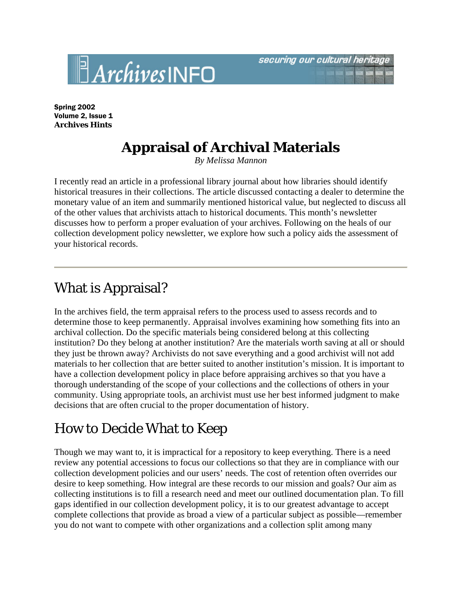Spring 2002 Volume 2, Issue 1 **Archives Hints**

 $\mathbb{B}$ Archives INFO

## **Appraisal of Archival Materials**

*By Melissa Mannon*

I recently read an article in a professional library journal about how libraries should identify historical treasures in their collections. The article discussed contacting a dealer to determine the monetary value of an item and summarily mentioned historical value, but neglected to discuss all of the other values that archivists attach to historical documents. This month's newsletter discusses how to perform a proper evaluation of your archives. Following on the heals of our collection development policy newsletter, we explore how such a policy aids the assessment of your historical records.

## What is Appraisal?

In the archives field, the term appraisal refers to the process used to assess records and to determine those to keep permanently. Appraisal involves examining how something fits into an archival collection. Do the specific materials being considered belong at this collecting institution? Do they belong at another institution? Are the materials worth saving at all or should they just be thrown away? Archivists do not save everything and a good archivist will not add materials to her collection that are better suited to another institution's mission. It is important to have a collection development policy in place before appraising archives so that you have a thorough understanding of the scope of your collections and the collections of others in your community. Using appropriate tools, an archivist must use her best informed judgment to make decisions that are often crucial to the proper documentation of history.

## How to Decide What to Keep

Though we may want to, it is impractical for a repository to keep everything. There is a need review any potential accessions to focus our collections so that they are in compliance with our collection development policies and our users' needs. The cost of retention often overrides our desire to keep something. How integral are these records to our mission and goals? Our aim as collecting institutions is to fill a research need and meet our outlined documentation plan. To fill gaps identified in our collection development policy, it is to our greatest advantage to accept complete collections that provide as broad a view of a particular subject as possible—remember you do not want to compete with other organizations and a collection split among many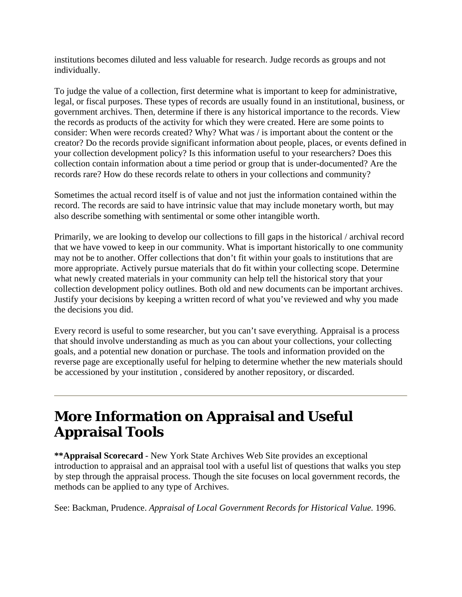institutions becomes diluted and less valuable for research. Judge records as groups and not individually.

To judge the value of a collection, first determine what is important to keep for administrative, legal, or fiscal purposes. These types of records are usually found in an institutional, business, or government archives. Then, determine if there is any historical importance to the records. View the records as products of the activity for which they were created. Here are some points to consider: When were records created? Why? What was / is important about the content or the creator? Do the records provide significant information about people, places, or events defined in your collection development policy? Is this information useful to your researchers? Does this collection contain information about a time period or group that is under-documented? Are the records rare? How do these records relate to others in your collections and community?

Sometimes the actual record itself is of value and not just the information contained within the record. The records are said to have intrinsic value that may include monetary worth, but may also describe something with sentimental or some other intangible worth.

Primarily, we are looking to develop our collections to fill gaps in the historical / archival record that we have vowed to keep in our community. What is important historically to one community may not be to another. Offer collections that don't fit within your goals to institutions that are more appropriate. Actively pursue materials that do fit within your collecting scope. Determine what newly created materials in your community can help tell the historical story that your collection development policy outlines. Both old and new documents can be important archives. Justify your decisions by keeping a written record of what you've reviewed and why you made the decisions you did.

Every record is useful to some researcher, but you can't save everything. Appraisal is a process that should involve understanding as much as you can about your collections, your collecting goals, and a potential new donation or purchase. The tools and information provided on the reverse page are exceptionally useful for helping to determine whether the new materials should be accessioned by your institution , considered by another repository, or discarded.

## **More Information on Appraisal and Useful Appraisal Tools**

**\*\*Appraisal Scorecard** - New York State Archives Web Site provides an exceptional introduction to appraisal and an appraisal tool with a useful list of questions that walks you step by step through the appraisal process. Though the site focuses on local government records, the methods can be applied to any type of Archives.

See: Backman, Prudence. *Appraisal of Local Government Records for Historical Value.* 1996.